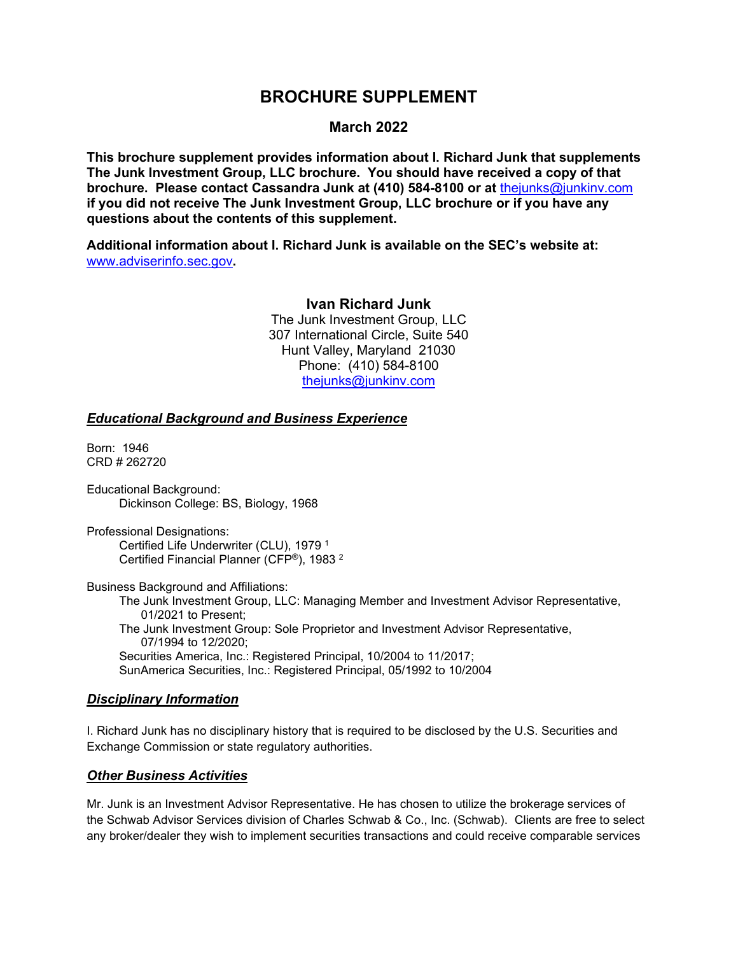# **March 2022**

**This brochure supplement provides information about I. Richard Junk that supplements The Junk Investment Group, LLC brochure. You should have received a copy of that brochure. Please contact Cassandra Junk at (410) 584-8100 or at** [thejunks@junkinv.com](mailto:thejunks@junkinv.com) **if you did not receive The Junk Investment Group, LLC brochure or if you have any questions about the contents of this supplement.**

**Additional information about I. Richard Junk is available on the SEC's website at:** [www.adviserinfo.sec.gov](http://www.adviserinfo.sec.gov/)**.** 

#### **Ivan Richard Junk**

The Junk Investment Group, LLC 307 International Circle, Suite 540 Hunt Valley, Maryland 21030 Phone: (410) 584-8100 thejunks@junkinv.com

#### *Educational Background and Business Experience*

Born: 1946 CRD # 262720

Educational Background: Dickinson College: BS, Biology, 1968

Professional Designations: Certified Life Underwriter (CLU), 1979 1 Certified Financial Planner (CFP®), 1983 <sup>2</sup>

Business Background and Affiliations:

The Junk Investment Group, LLC: Managing Member and Investment Advisor Representative, 01/2021 to Present; The Junk Investment Group: Sole Proprietor and Investment Advisor Representative, 07/1994 to 12/2020; Securities America, Inc.: Registered Principal, 10/2004 to 11/2017; SunAmerica Securities, Inc.: Registered Principal, 05/1992 to 10/2004

# *Disciplinary Information*

I. Richard Junk has no disciplinary history that is required to be disclosed by the U.S. Securities and Exchange Commission or state regulatory authorities.

# *Other Business Activities*

Mr. Junk is an Investment Advisor Representative. He has chosen to utilize the brokerage services of the Schwab Advisor Services division of Charles Schwab & Co., Inc. (Schwab).Clients are free to select any broker/dealer they wish to implement securities transactions and could receive comparable services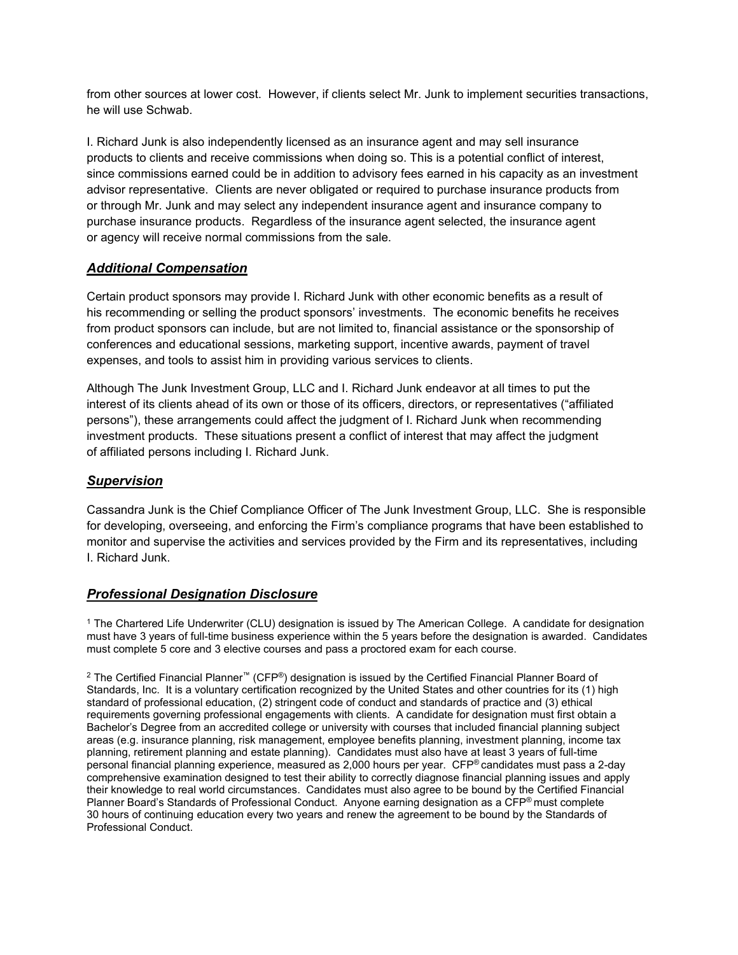from other sources at lower cost. However, if clients select Mr. Junk to implement securities transactions, he will use Schwab.

I. Richard Junk is also independently licensed as an insurance agent and may sell insurance products to clients and receive commissions when doing so. This is a potential conflict of interest, since commissions earned could be in addition to advisory fees earned in his capacity as an investment advisor representative. Clients are never obligated or required to purchase insurance products from or through Mr. Junk and may select any independent insurance agent and insurance company to purchase insurance products. Regardless of the insurance agent selected, the insurance agent or agency will receive normal commissions from the sale.

# *Additional Compensation*

Certain product sponsors may provide I. Richard Junk with other economic benefits as a result of his recommending or selling the product sponsors' investments. The economic benefits he receives from product sponsors can include, but are not limited to, financial assistance or the sponsorship of conferences and educational sessions, marketing support, incentive awards, payment of travel expenses, and tools to assist him in providing various services to clients.

Although The Junk Investment Group, LLC and I. Richard Junk endeavor at all times to put the interest of its clients ahead of its own or those of its officers, directors, or representatives ("affiliated persons"), these arrangements could affect the judgment of I. Richard Junk when recommending investment products. These situations present a conflict of interest that may affect the judgment of affiliated persons including I. Richard Junk.

# *Supervision*

Cassandra Junk is the Chief Compliance Officer of The Junk Investment Group, LLC. She is responsible for developing, overseeing, and enforcing the Firm's compliance programs that have been established to monitor and supervise the activities and services provided by the Firm and its representatives, including I. Richard Junk.

# *Professional Designation Disclosure*

<sup>1</sup> The Chartered Life Underwriter (CLU) designation is issued by The American College. A candidate for designation must have 3 years of full-time business experience within the 5 years before the designation is awarded. Candidates must complete 5 core and 3 elective courses and pass a proctored exam for each course.

<sup>2</sup> The Certified Financial Planner™ (CFP®) designation is issued by the Certified Financial Planner Board of Standards, Inc. It is a voluntary certification recognized by the United States and other countries for its (1) high standard of professional education, (2) stringent code of conduct and standards of practice and (3) ethical requirements governing professional engagements with clients. A candidate for designation must first obtain a Bachelor's Degree from an accredited college or university with courses that included financial planning subject areas (e.g. insurance planning, risk management, employee benefits planning, investment planning, income tax planning, retirement planning and estate planning). Candidates must also have at least 3 years of full-time personal financial planning experience, measured as 2,000 hours per year. CFP® candidates must pass a 2-day comprehensive examination designed to test their ability to correctly diagnose financial planning issues and apply their knowledge to real world circumstances. Candidates must also agree to be bound by the Certified Financial Planner Board's Standards of Professional Conduct. Anyone earning designation as a CFP® must complete 30 hours of continuing education every two years and renew the agreement to be bound by the Standards of Professional Conduct.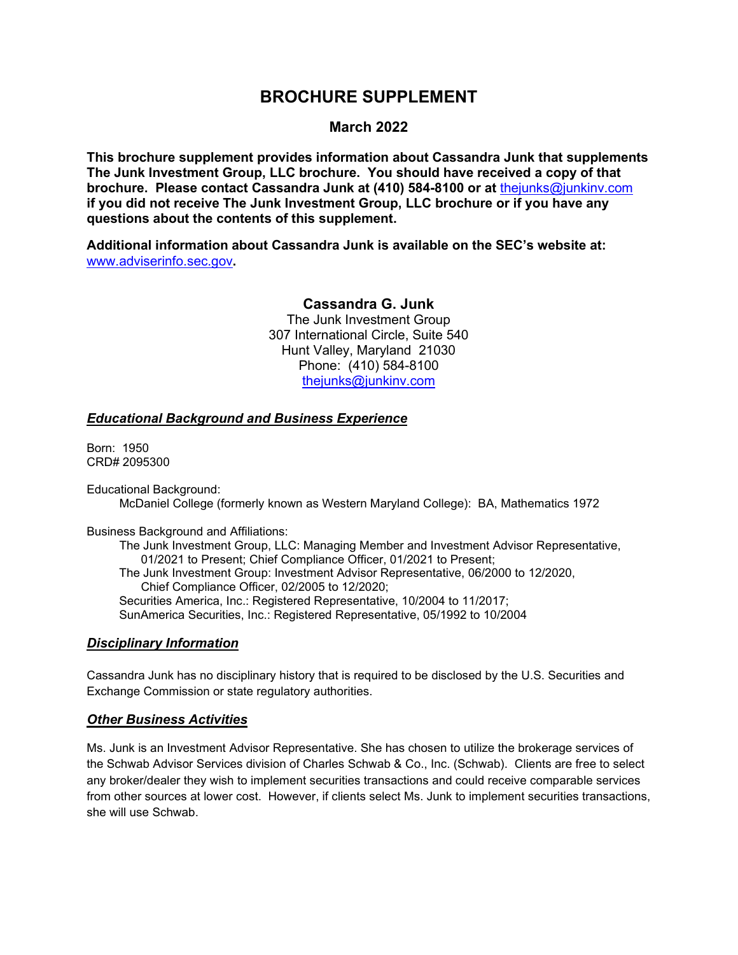# **March 2022**

**This brochure supplement provides information about Cassandra Junk that supplements The Junk Investment Group, LLC brochure. You should have received a copy of that brochure. Please contact Cassandra Junk at (410) 584-8100 or at** [thejunks@junkinv.com](mailto:thejunks@junkinv.com) **if you did not receive The Junk Investment Group, LLC brochure or if you have any questions about the contents of this supplement.**

**Additional information about Cassandra Junk is available on the SEC's website at:** [www.adviserinfo.sec.gov](http://www.adviserinfo.sec.gov/)**.** 

### **Cassandra G. Junk**

The Junk Investment Group 307 International Circle, Suite 540 Hunt Valley, Maryland 21030 Phone: (410) 584-8100 [thejunks@junkinv.com](mailto:thejunks@junkinv.com)

#### *Educational Background and Business Experience*

Born: 1950 CRD# 2095300

Educational Background:

McDaniel College (formerly known as Western Maryland College): BA, Mathematics 1972

Business Background and Affiliations:

The Junk Investment Group, LLC: Managing Member and Investment Advisor Representative, 01/2021 to Present; Chief Compliance Officer, 01/2021 to Present; The Junk Investment Group: Investment Advisor Representative, 06/2000 to 12/2020, Chief Compliance Officer, 02/2005 to 12/2020; Securities America, Inc.: Registered Representative, 10/2004 to 11/2017; SunAmerica Securities, Inc.: Registered Representative, 05/1992 to 10/2004

#### *Disciplinary Information*

Cassandra Junk has no disciplinary history that is required to be disclosed by the U.S. Securities and Exchange Commission or state regulatory authorities.

# *Other Business Activities*

Ms. Junk is an Investment Advisor Representative. She has chosen to utilize the brokerage services of the Schwab Advisor Services division of Charles Schwab & Co., Inc. (Schwab).Clients are free to select any broker/dealer they wish to implement securities transactions and could receive comparable services from other sources at lower cost. However, if clients select Ms. Junk to implement securities transactions, she will use Schwab.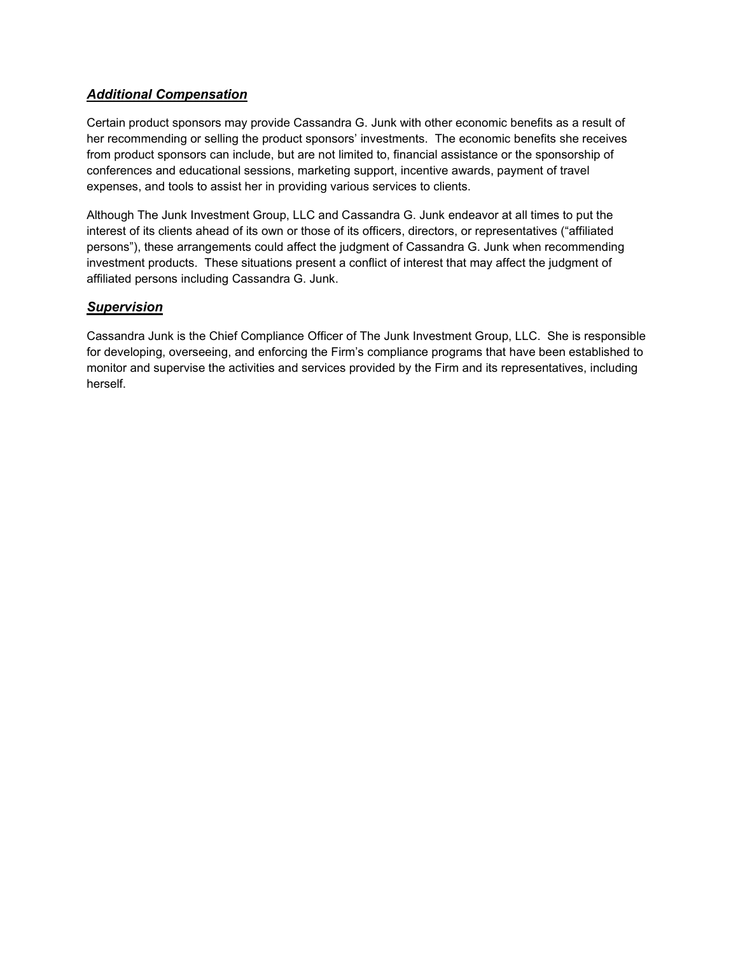# *Additional Compensation*

Certain product sponsors may provide Cassandra G. Junk with other economic benefits as a result of her recommending or selling the product sponsors' investments. The economic benefits she receives from product sponsors can include, but are not limited to, financial assistance or the sponsorship of conferences and educational sessions, marketing support, incentive awards, payment of travel expenses, and tools to assist her in providing various services to clients.

Although The Junk Investment Group, LLC and Cassandra G. Junk endeavor at all times to put the interest of its clients ahead of its own or those of its officers, directors, or representatives ("affiliated persons"), these arrangements could affect the judgment of Cassandra G. Junk when recommending investment products. These situations present a conflict of interest that may affect the judgment of affiliated persons including Cassandra G. Junk.

# *Supervision*

Cassandra Junk is the Chief Compliance Officer of The Junk Investment Group, LLC. She is responsible for developing, overseeing, and enforcing the Firm's compliance programs that have been established to monitor and supervise the activities and services provided by the Firm and its representatives, including herself.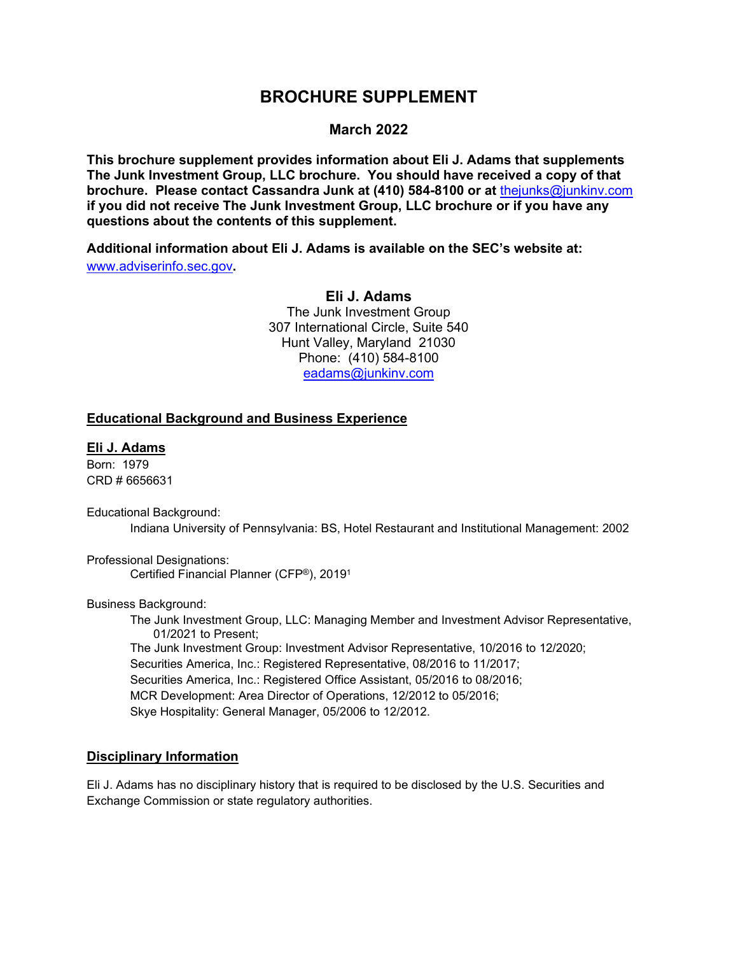## **March 2022**

**This brochure supplement provides information about Eli J. Adams that supplements The Junk Investment Group, LLC brochure. You should have received a copy of that brochure. Please contact Cassandra Junk at (410) 584-8100 or at** [thejunks@junkinv.com](mailto:thejunks@junkinv.com) **if you did not receive The Junk Investment Group, LLC brochure or if you have any questions about the contents of this supplement.**

**Additional information about Eli J. Adams is available on the SEC's website at:** [www.adviserinfo.sec.gov](http://www.adviserinfo.sec.gov/)**.**

#### **Eli J. Adams**

The Junk Investment Group 307 International Circle, Suite 540 Hunt Valley, Maryland 21030 Phone: (410) 584-8100 eadams@junkinv.com

## **Educational Background and Business Experience**

### **Eli J. Adams**

Born: 1979 CRD # 6656631

Educational Background: Indiana University of Pennsylvania: BS, Hotel Restaurant and Institutional Management: 2002

Professional Designations: Certified Financial Planner (CFP®), 20191

Business Background:

The Junk Investment Group, LLC: Managing Member and Investment Advisor Representative, 01/2021 to Present; The Junk Investment Group: Investment Advisor Representative, 10/2016 to 12/2020; Securities America, Inc.: Registered Representative, 08/2016 to 11/2017; Securities America, Inc.: Registered Office Assistant, 05/2016 to 08/2016; MCR Development: Area Director of Operations, 12/2012 to 05/2016; Skye Hospitality: General Manager, 05/2006 to 12/2012.

#### **Disciplinary Information**

Eli J. Adams has no disciplinary history that is required to be disclosed by the U.S. Securities and Exchange Commission or state regulatory authorities.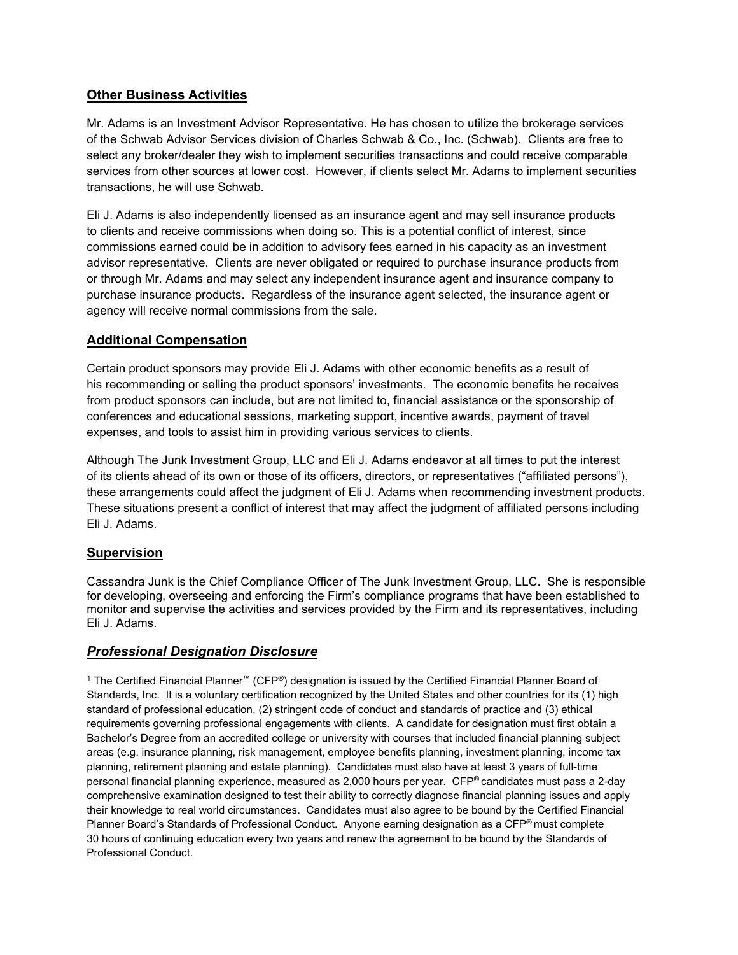# **Other Business Activities**

Mr. Adams is an Investment Advisor Representative. He has chosen to utilize the brokerage services of the Schwab Advisor Services division of Charles Schwab & Co., Inc. (Schwab).Clients are free to select any broker/dealer they wish to implement securities transactions and could receive comparable services from other sources at lower cost. However, if clients select Mr. Adams to implement securities transactions, he will use Schwab.

Eli J. Adams is also independently licensed as an insurance agent and may sell insurance products to clients and receive commissions when doing so. This is a potential conflict of interest, since commissions earned could be in addition to advisory fees earned in his capacity as an investment advisor representative. Clients are never obligated or required to purchase insurance products from or through Mr. Adams and may select any independent insurance agent and insurance company to purchase insurance products. Regardless of the insurance agent selected, the insurance agent or agency will receive normal commissions from the sale.

# **Additional Compensation**

Certain product sponsors may provide Eli J. Adams with other economic benefits as a result of his recommending or selling the product sponsors' investments. The economic benefits he receives from product sponsors can include, but are not limited to, financial assistance or the sponsorship of conferences and educational sessions, marketing support, incentive awards, payment of travel expenses, and tools to assist him in providing various services to clients.

Although The Junk Investment Group, LLC and Eli J. Adams endeavor at all times to put the interest of its clients ahead of its own or those of its officers, directors, or representatives ("affiliated persons"), these arrangements could affect the judgment of Eli J. Adams when recommending investment products. These situations present a conflict of interest that may affect the judgment of affiliated persons including Eli J. Adams.

# **Supervision**

Cassandra Junk is the Chief Compliance Officer of The Junk Investment Group, LLC. She is responsible for developing, overseeing and enforcing the Firm's compliance programs that have been established to monitor and supervise the activities and services provided by the Firm and its representatives, including Eli J. Adams.

# *Professional Designation Disclosure*

<sup>1</sup> The Certified Financial Planner™ (CFP®) designation is issued by the Certified Financial Planner Board of Standards, Inc. It is a voluntary certification recognized by the United States and other countries for its (1) high standard of professional education, (2) stringent code of conduct and standards of practice and (3) ethical requirements governing professional engagements with clients. A candidate for designation must first obtain a Bachelor's Degree from an accredited college or university with courses that included financial planning subject areas (e.g. insurance planning, risk management, employee benefits planning, investment planning, income tax planning, retirement planning and estate planning). Candidates must also have at least 3 years of full-time personal financial planning experience, measured as 2,000 hours per year. CFP® candidates must pass a 2-day comprehensive examination designed to test their ability to correctly diagnose financial planning issues and apply their knowledge to real world circumstances. Candidates must also agree to be bound by the Certified Financial Planner Board's Standards of Professional Conduct. Anyone earning designation as a CFP® must complete 30 hours of continuing education every two years and renew the agreement to be bound by the Standards of Professional Conduct.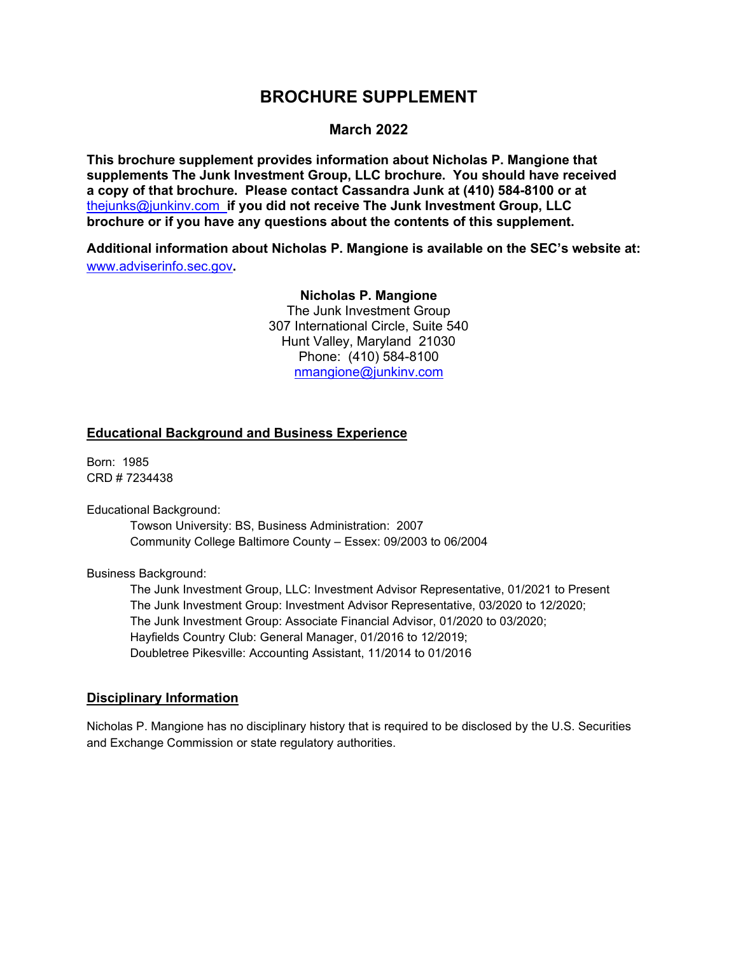### **March 2022**

**This brochure supplement provides information about Nicholas P. Mangione that supplements The Junk Investment Group, LLC brochure. You should have received a copy of that brochure. Please contact Cassandra Junk at (410) 584-8100 or at**  [thejunks@junkinv.com](mailto:thejunks@junkinv.com) **if you did not receive The Junk Investment Group, LLC brochure or if you have any questions about the contents of this supplement.**

**Additional information about Nicholas P. Mangione is available on the SEC's website at:** [www.adviserinfo.sec.gov](http://www.adviserinfo.sec.gov/)**.**

# **Nicholas P. Mangione**

The Junk Investment Group 307 International Circle, Suite 540 Hunt Valley, Maryland 21030 Phone: (410) 584-8100 [nmangione@junkinv.com](mailto:nmangione@junkinv.com)

### **Educational Background and Business Experience**

Born: 1985 CRD # 7234438

Educational Background:

Towson University: BS, Business Administration: 2007 Community College Baltimore County – Essex: 09/2003 to 06/2004

Business Background:

The Junk Investment Group, LLC: Investment Advisor Representative, 01/2021 to Present The Junk Investment Group: Investment Advisor Representative, 03/2020 to 12/2020; The Junk Investment Group: Associate Financial Advisor, 01/2020 to 03/2020; Hayfields Country Club: General Manager, 01/2016 to 12/2019; Doubletree Pikesville: Accounting Assistant, 11/2014 to 01/2016

#### **Disciplinary Information**

Nicholas P. Mangione has no disciplinary history that is required to be disclosed by the U.S. Securities and Exchange Commission or state regulatory authorities.